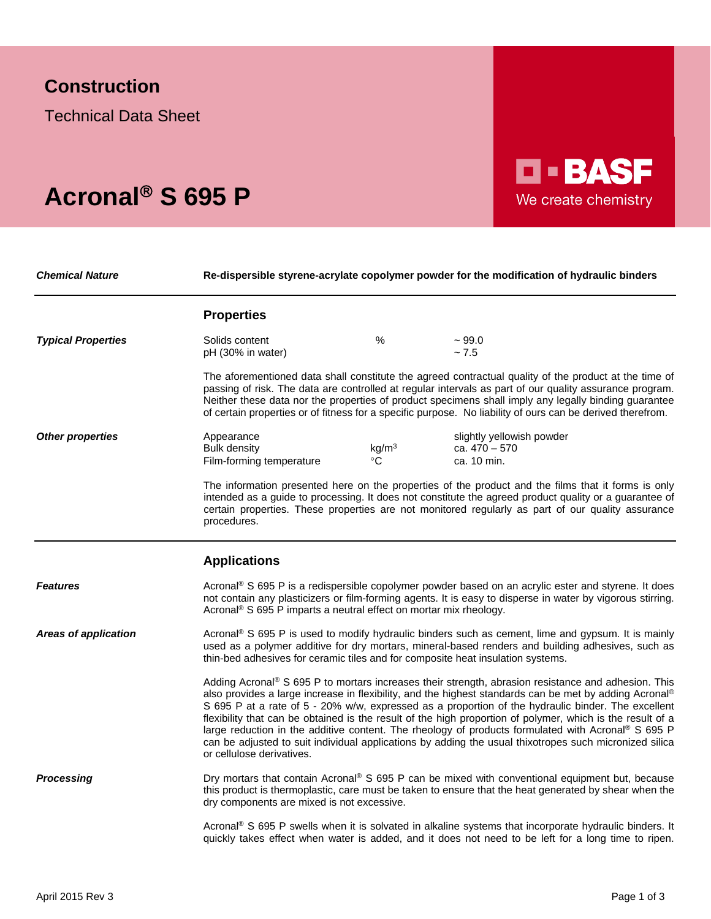## **Construction**

Technical Data Sheet

## Acronal<sup>®</sup> S 695 P

*Chemical Nature* **Re-dispersible styrene-acrylate copolymer powder for the modification of hydraulic binders**

**D-BASF** 

We create chemistry

|                             | <b>Properties</b>                                                               |                                  |                                                                                                                                                                                                                                                                                                                                                                                                                                                                                                                                                                                                                                                               |
|-----------------------------|---------------------------------------------------------------------------------|----------------------------------|---------------------------------------------------------------------------------------------------------------------------------------------------------------------------------------------------------------------------------------------------------------------------------------------------------------------------------------------------------------------------------------------------------------------------------------------------------------------------------------------------------------------------------------------------------------------------------------------------------------------------------------------------------------|
| <b>Typical Properties</b>   | Solids content<br>pH (30% in water)                                             | $\%$                             | $~1$ 99.0<br>~1.5                                                                                                                                                                                                                                                                                                                                                                                                                                                                                                                                                                                                                                             |
|                             |                                                                                 |                                  | The aforementioned data shall constitute the agreed contractual quality of the product at the time of<br>passing of risk. The data are controlled at regular intervals as part of our quality assurance program.<br>Neither these data nor the properties of product specimens shall imply any legally binding guarantee<br>of certain properties or of fitness for a specific purpose. No liability of ours can be derived therefrom.                                                                                                                                                                                                                        |
| <b>Other properties</b>     | Appearance<br><b>Bulk density</b><br>Film-forming temperature                   | kg/m <sup>3</sup><br>$^{\circ}C$ | slightly yellowish powder<br>ca. 470 - 570<br>ca. 10 min.                                                                                                                                                                                                                                                                                                                                                                                                                                                                                                                                                                                                     |
|                             | procedures.                                                                     |                                  | The information presented here on the properties of the product and the films that it forms is only<br>intended as a guide to processing. It does not constitute the agreed product quality or a guarantee of<br>certain properties. These properties are not monitored regularly as part of our quality assurance                                                                                                                                                                                                                                                                                                                                            |
|                             | <b>Applications</b>                                                             |                                  |                                                                                                                                                                                                                                                                                                                                                                                                                                                                                                                                                                                                                                                               |
| <b>Features</b>             | Acronal <sup>®</sup> S 695 P imparts a neutral effect on mortar mix rheology.   |                                  | Acronal <sup>®</sup> S 695 P is a redispersible copolymer powder based on an acrylic ester and styrene. It does<br>not contain any plasticizers or film-forming agents. It is easy to disperse in water by vigorous stirring.                                                                                                                                                                                                                                                                                                                                                                                                                                 |
| <b>Areas of application</b> | thin-bed adhesives for ceramic tiles and for composite heat insulation systems. |                                  | Acronal <sup>®</sup> S 695 P is used to modify hydraulic binders such as cement, lime and gypsum. It is mainly<br>used as a polymer additive for dry mortars, mineral-based renders and building adhesives, such as                                                                                                                                                                                                                                                                                                                                                                                                                                           |
|                             | or cellulose derivatives.                                                       |                                  | Adding Acronal® S 695 P to mortars increases their strength, abrasion resistance and adhesion. This<br>also provides a large increase in flexibility, and the highest standards can be met by adding Acronal®<br>S 695 P at a rate of 5 - 20% w/w, expressed as a proportion of the hydraulic binder. The excellent<br>flexibility that can be obtained is the result of the high proportion of polymer, which is the result of a<br>large reduction in the additive content. The rheology of products formulated with Acronal <sup>®</sup> S 695 P<br>can be adjusted to suit individual applications by adding the usual thixotropes such micronized silica |
| <b>Processing</b>           | dry components are mixed is not excessive.                                      |                                  | Dry mortars that contain Acronal® S 695 P can be mixed with conventional equipment but, because<br>this product is thermoplastic, care must be taken to ensure that the heat generated by shear when the                                                                                                                                                                                                                                                                                                                                                                                                                                                      |
|                             |                                                                                 |                                  | Acronal <sup>®</sup> S 695 P swells when it is solvated in alkaline systems that incorporate hydraulic binders. It<br>quickly takes effect when water is added, and it does not need to be left for a long time to ripen.                                                                                                                                                                                                                                                                                                                                                                                                                                     |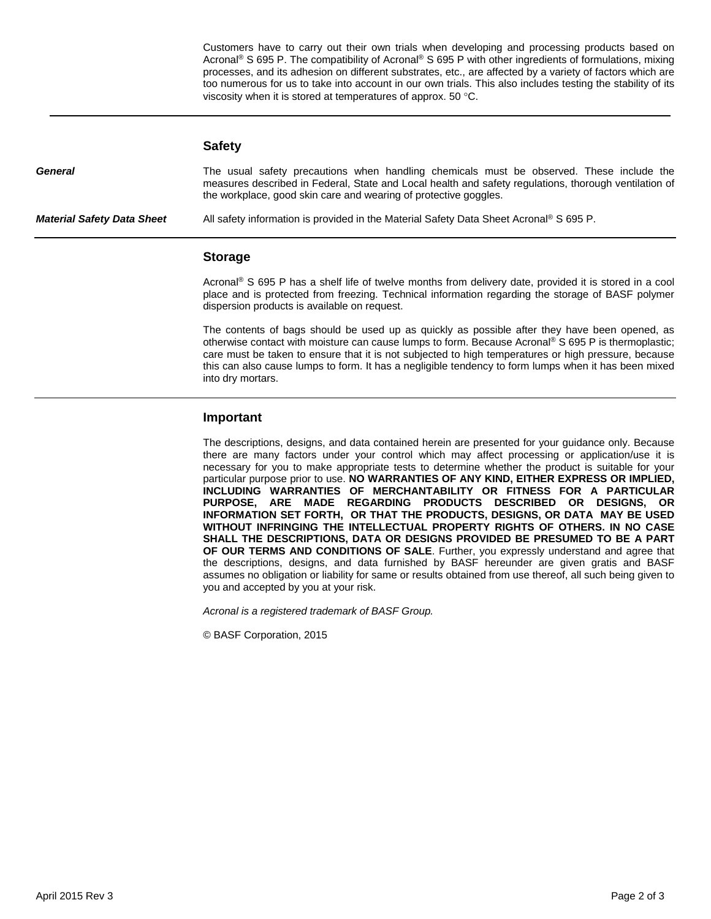Customers have to carry out their own trials when developing and processing products based on Acronal® S 695 P. The compatibility of Acronal® S 695 P with other ingredients of formulations, mixing processes, and its adhesion on different substrates, etc., are affected by a variety of factors which are too numerous for us to take into account in our own trials. This also includes testing the stability of its viscosity when it is stored at temperatures of approx. 50 °C.

|                                   | <b>Safety</b>                                                                                                                                                                                                                                                         |  |
|-----------------------------------|-----------------------------------------------------------------------------------------------------------------------------------------------------------------------------------------------------------------------------------------------------------------------|--|
| General                           | The usual safety precautions when handling chemicals must be observed. These include the<br>measures described in Federal, State and Local health and safety regulations, thorough ventilation of<br>the workplace, good skin care and wearing of protective goggles. |  |
| <b>Material Safety Data Sheet</b> | All safety information is provided in the Material Safety Data Sheet Acronal <sup>®</sup> S 695 P.                                                                                                                                                                    |  |
|                                   |                                                                                                                                                                                                                                                                       |  |

## **Storage**

Acronal® S 695 P has a shelf life of twelve months from delivery date, provided it is stored in a cool place and is protected from freezing. Technical information regarding the storage of BASF polymer dispersion products is available on request.

The contents of bags should be used up as quickly as possible after they have been opened, as otherwise contact with moisture can cause lumps to form. Because Acronal® S 695 P is thermoplastic; care must be taken to ensure that it is not subjected to high temperatures or high pressure, because this can also cause lumps to form. It has a negligible tendency to form lumps when it has been mixed into dry mortars.

## **Important**

The descriptions, designs, and data contained herein are presented for your guidance only. Because there are many factors under your control which may affect processing or application/use it is necessary for you to make appropriate tests to determine whether the product is suitable for your particular purpose prior to use. **NO WARRANTIES OF ANY KIND, EITHER EXPRESS OR IMPLIED, INCLUDING WARRANTIES OF MERCHANTABILITY OR FITNESS FOR A PARTICULAR PURPOSE, ARE MADE REGARDING PRODUCTS DESCRIBED OR DESIGNS, OR INFORMATION SET FORTH, OR THAT THE PRODUCTS, DESIGNS, OR DATA MAY BE USED WITHOUT INFRINGING THE INTELLECTUAL PROPERTY RIGHTS OF OTHERS. IN NO CASE SHALL THE DESCRIPTIONS, DATA OR DESIGNS PROVIDED BE PRESUMED TO BE A PART OF OUR TERMS AND CONDITIONS OF SALE**. Further, you expressly understand and agree that the descriptions, designs, and data furnished by BASF hereunder are given gratis and BASF assumes no obligation or liability for same or results obtained from use thereof, all such being given to you and accepted by you at your risk.

*Acronal is a registered trademark of BASF Group.*

© BASF Corporation, 2015